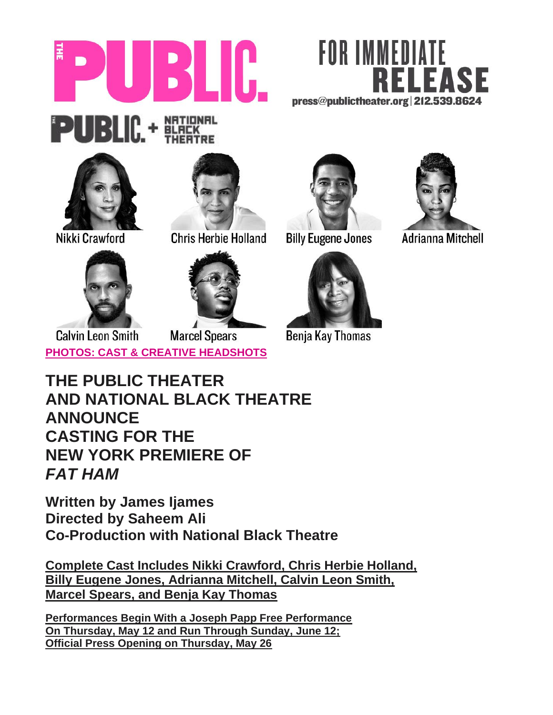







Nikki Crawford



**Chris Herbie Holland** 



**Billy Eugene Jones** 



**Benja Kay Thomas** 



**Adrianna Mitchell** 





**Marcel Spears Calvin Leon Smith [PHOTOS: CAST & CREATIVE HEADSHOTS](https://www.dropbox.com/sh/9fo4ebg0zjernys/AAAWhRJXDwPftXhHkvf0R1pTa?dl=0)** 

**THE PUBLIC THEATER AND NATIONAL BLACK THEATRE ANNOUNCE CASTING FOR THE NEW YORK PREMIERE OF** *FAT HAM*

**Written by James Ijames Directed by Saheem Ali Co-Production with National Black Theatre** 

**Complete Cast Includes Nikki Crawford, Chris Herbie Holland, Billy Eugene Jones, Adrianna Mitchell, Calvin Leon Smith, Marcel Spears, and Benja Kay Thomas**

**Performances Begin With a Joseph Papp Free Performance On Thursday, May 12 and Run Through Sunday, June 12; Official Press Opening on Thursday, May 26**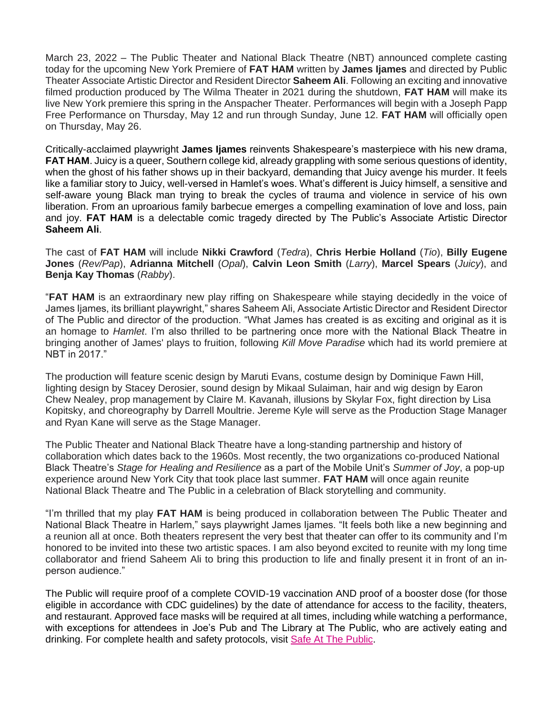March 23, 2022 – The Public Theater and National Black Theatre (NBT) announced complete casting today for the upcoming New York Premiere of **FAT HAM** written by **James Ijames** and directed by Public Theater Associate Artistic Director and Resident Director **Saheem Ali**. Following an exciting and innovative filmed production produced by The Wilma Theater in 2021 during the shutdown, **FAT HAM** will make its live New York premiere this spring in the Anspacher Theater. Performances will begin with a Joseph Papp Free Performance on Thursday, May 12 and run through Sunday, June 12. **FAT HAM** will officially open on Thursday, May 26.

Critically-acclaimed playwright **James Ijames** reinvents Shakespeare's masterpiece with his new drama, **FAT HAM**. Juicy is a queer, Southern college kid, already grappling with some serious questions of identity, when the ghost of his father shows up in their backyard, demanding that Juicy avenge his murder. It feels like a familiar story to Juicy, well-versed in Hamlet's woes. What's different is Juicy himself, a sensitive and self-aware young Black man trying to break the cycles of trauma and violence in service of his own liberation. From an uproarious family barbecue emerges a compelling examination of love and loss, pain and joy. **FAT HAM** is a delectable comic tragedy directed by The Public's Associate Artistic Director **Saheem Ali**.

The cast of **FAT HAM** will include **Nikki Crawford** (*Tedra*), **Chris Herbie Holland** (*Tio*), **Billy Eugene Jones** (*Rev/Pap*), **Adrianna Mitchell** (*Opal*), **Calvin Leon Smith** (*Larry*), **Marcel Spears** (*Juicy*), and **Benja Kay Thomas** (*Rabby*).

"**FAT HAM** is an extraordinary new play riffing on Shakespeare while staying decidedly in the voice of James Ijames, its brilliant playwright," shares Saheem Ali, Associate Artistic Director and Resident Director of The Public and director of the production. "What James has created is as exciting and original as it is an homage to *Hamlet*. I'm also thrilled to be partnering once more with the National Black Theatre in bringing another of James' plays to fruition, following *Kill Move Paradise* which had its world premiere at NBT in 2017."

The production will feature scenic design by Maruti Evans, costume design by Dominique Fawn Hill, lighting design by Stacey Derosier, sound design by Mikaal Sulaiman, hair and wig design by Earon Chew Nealey, prop management by Claire M. Kavanah, illusions by Skylar Fox, fight direction by Lisa Kopitsky, and choreography by Darrell Moultrie. Jereme Kyle will serve as the Production Stage Manager and Ryan Kane will serve as the Stage Manager.

The Public Theater and National Black Theatre have a long-standing partnership and history of collaboration which dates back to the 1960s. Most recently, the two organizations co-produced National Black Theatre's *Stage for Healing and Resilience* as a part of the Mobile Unit's *Summer of Joy*, a pop-up experience around New York City that took place last summer. **FAT HAM** will once again reunite National Black Theatre and The Public in a celebration of Black storytelling and community.

"I'm thrilled that my play **FAT HAM** is being produced in collaboration between The Public Theater and National Black Theatre in Harlem," says playwright James Ijames. "It feels both like a new beginning and a reunion all at once. Both theaters represent the very best that theater can offer to its community and I'm honored to be invited into these two artistic spaces. I am also beyond excited to reunite with my long time collaborator and friend Saheem Ali to bring this production to life and finally present it in front of an inperson audience."

The Public will require proof of a complete COVID-19 vaccination AND proof of a booster dose (for those eligible in accordance with CDC guidelines) by the date of attendance for access to the facility, theaters, and restaurant. Approved face masks will be required at all times, including while watching a performance, with exceptions for attendees in Joe's Pub and The Library at The Public, who are actively eating and drinking. For complete health and safety protocols, visit [Safe At The Public.](http://thepublic.nyc/safeatthepublic)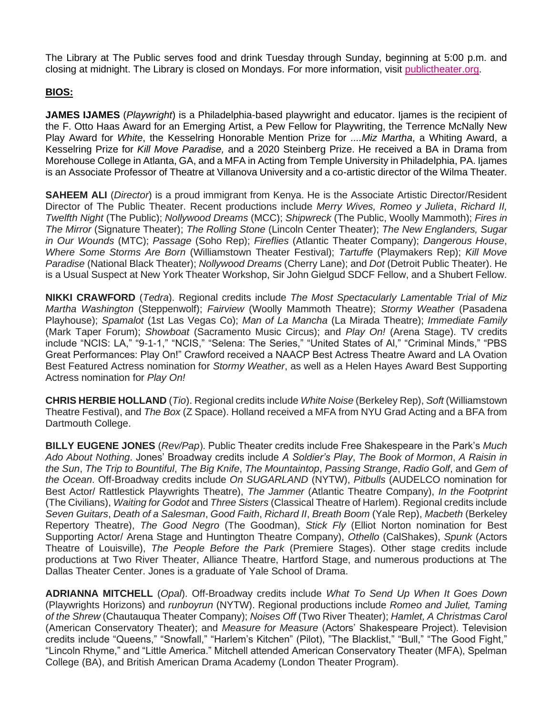The Library at The Public serves food and drink Tuesday through Sunday, beginning at 5:00 p.m. and closing at midnight. The Library is closed on Mondays. For more information, visit [publictheater.org.](http://www.publictheater.org/)

## **BIOS:**

**JAMES IJAMES** (*Playwright*) is a Philadelphia-based playwright and educator. Ijames is the recipient of the F. Otto Haas Award for an Emerging Artist, a Pew Fellow for Playwriting, the Terrence McNally New Play Award for *White*, the Kesselring Honorable Mention Prize for *....Miz Martha*, a Whiting Award, a Kesselring Prize for *Kill Move Paradise,* and a 2020 Steinberg Prize. He received a BA in Drama from Morehouse College in Atlanta, GA, and a MFA in Acting from Temple University in Philadelphia, PA. Ijames is an Associate Professor of Theatre at Villanova University and a co-artistic director of the Wilma Theater.

**SAHEEM ALI** (*Director*) is a proud immigrant from Kenya. He is the Associate Artistic Director/Resident Director of The Public Theater. Recent productions include *Merry Wives, Romeo y Julieta*, *Richard II, Twelfth Night* (The Public); *Nollywood Dreams* (MCC); *Shipwreck* (The Public, Woolly Mammoth); *Fires in The Mirror* (Signature Theater); *The Rolling Stone* (Lincoln Center Theater); *The New Englanders, Sugar in Our Wounds* (MTC); *Passage* (Soho Rep); *Fireflies* (Atlantic Theater Company); *Dangerous House*, *Where Some Storms Are Born* (Williamstown Theater Festival); *Tartuffe* (Playmakers Rep); *Kill Move Paradise* (National Black Theater); *Nollywood Dreams* (Cherry Lane); and *Dot* (Detroit Public Theater). He is a Usual Suspect at New York Theater Workshop, Sir John Gielgud SDCF Fellow, and a Shubert Fellow.

**NIKKI CRAWFORD** (*Tedra*). Regional credits include *The Most Spectacularly Lamentable Trial of Miz Martha Washington* (Steppenwolf); *Fairview* (Woolly Mammoth Theatre); *Stormy Weather* (Pasadena Playhouse); *Spamalot* (1st Las Vegas Co); *Man of La Mancha* (La Mirada Theatre); *Immediate Family*  (Mark Taper Forum); *Showboat* (Sacramento Music Circus); and *Play On!* (Arena Stage). TV credits include "NCIS: LA," "9-1-1," "NCIS," "Selena: The Series," "United States of Al," "Criminal Minds," "PBS Great Performances: Play On!" Crawford received a NAACP Best Actress Theatre Award and LA Ovation Best Featured Actress nomination for *Stormy Weather*, as well as a Helen Hayes Award Best Supporting Actress nomination for *Play On!*

**CHRIS HERBIE HOLLAND** (*Tio*). Regional credits include *White Noise* (Berkeley Rep), *Soft* (Williamstown Theatre Festival), and *The Box* (Z Space). Holland received a MFA from NYU Grad Acting and a BFA from Dartmouth College.

**BILLY EUGENE JONES** (*Rev/Pap*). Public Theater credits include Free Shakespeare in the Park's *Much Ado About Nothing*. Jones' Broadway credits include *A Soldier's Play*, *The Book of Mormon*, *A Raisin in the Sun*, *The Trip to Bountiful*, *The Big Knife*, *The Mountaintop*, *Passing Strange*, *Radio Golf*, and *Gem of the Ocean*. Off-Broadway credits include *On SUGARLAND* (NYTW), *Pitbulls* (AUDELCO nomination for Best Actor/ Rattlestick Playwrights Theatre), *The Jammer* (Atlantic Theatre Company), *In the Footprint* (The Civilians), *Waiting for Godot* and *Three Sisters* (Classical Theatre of Harlem). Regional credits include *Seven Guitars*, *Death of a Salesman*, *Good Faith*, *Richard II*, *Breath Boom* (Yale Rep), *Macbeth* (Berkeley Repertory Theatre), *The Good Negro* (The Goodman), *Stick Fly* (Elliot Norton nomination for Best Supporting Actor/ Arena Stage and Huntington Theatre Company), *Othello* (CalShakes), *Spunk* (Actors Theatre of Louisville), *The People Before the Park* (Premiere Stages). Other stage credits include productions at Two River Theater, Alliance Theatre, Hartford Stage, and numerous productions at The Dallas Theater Center. Jones is a graduate of Yale School of Drama.

**ADRIANNA MITCHELL** (*Opal*). Off-Broadway credits include *What To Send Up When It Goes Down* (Playwrights Horizons) and *runboyrun* (NYTW). Regional productions include *Romeo and Juliet, Taming of the Shrew* (Chautauqua Theater Company); *Noises Off* (Two River Theater); *Hamlet, A Christmas Carol* (American Conservatory Theater); and *Measure for Measure* (Actors' Shakespeare Project). Television credits include "Queens," "Snowfall," "Harlem's Kitchen" (Pilot), "The Blacklist," "Bull," "The Good Fight," "Lincoln Rhyme," and "Little America." Mitchell attended American Conservatory Theater (MFA), Spelman College (BA), and British American Drama Academy (London Theater Program).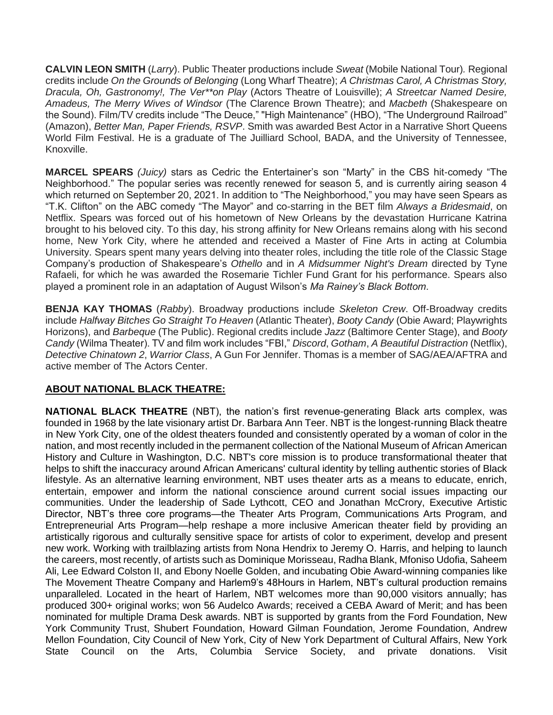**CALVIN LEON SMITH** (*Larry*). Public Theater productions include *Sweat* (Mobile National Tour)*.* Regional credits include *On the Grounds of Belonging* (Long Wharf Theatre); *A Christmas Carol, A Christmas Story, Dracula, Oh, Gastronomy!, The Ver\*\*on Play* (Actors Theatre of Louisville); *A Streetcar Named Desire, Amadeus, The Merry Wives of Windsor* (The Clarence Brown Theatre); and *Macbeth* (Shakespeare on the Sound). Film/TV credits include "The Deuce," "High Maintenance" (HBO), "The Underground Railroad" (Amazon), *Better Man, Paper Friends, RSVP*. Smith was awarded Best Actor in a Narrative Short Queens World Film Festival. He is a graduate of The Juilliard School, BADA, and the University of Tennessee, Knoxville.

**MARCEL SPEARS** *(Juicy)* stars as Cedric the Entertainer's son "Marty" in the CBS hit-comedy "The Neighborhood." The popular series was recently renewed for season 5, and is currently airing season 4 which returned on September 20, 2021. In addition to "The Neighborhood," you may have seen Spears as "T.K. Clifton" on the ABC comedy "The Mayor" and co-starring in the BET film *Always a Bridesmaid*, on Netflix. Spears was forced out of his hometown of New Orleans by the devastation Hurricane Katrina brought to his beloved city. To this day, his strong affinity for New Orleans remains along with his second home, New York City, where he attended and received a Master of Fine Arts in acting at Columbia University. Spears spent many years delving into theater roles, including the title role of the Classic Stage Company's production of Shakespeare's *Othello* and in *A Midsummer Night's Dream* directed by Tyne Rafaeli, for which he was awarded the Rosemarie Tichler Fund Grant for his performance. Spears also played a prominent role in an adaptation of August Wilson's *Ma Rainey's Black Bottom*.

**BENJA KAY THOMAS** (*Rabby*). Broadway productions include *Skeleton Crew*. Off-Broadway credits include *Halfway Bitches Go Straight To Heaven* (Atlantic Theater), *Booty Candy* (Obie Award; Playwrights Horizons), and *Barbeque* (The Public). Regional credits include *Jazz* (Baltimore Center Stage), and *Booty Candy* (Wilma Theater). TV and film work includes "FBI," *Discord*, *Gotham*, *A Beautiful Distraction* (Netflix), *Detective Chinatown 2*, *Warrior Class*, A Gun For Jennifer. Thomas is a member of SAG/AEA/AFTRA and active member of The Actors Center.

# **ABOUT NATIONAL BLACK THEATRE:**

**NATIONAL BLACK THEATRE** (NBT), the nation's first revenue-generating Black arts complex, was founded in 1968 by the late visionary artist Dr. Barbara Ann Teer. NBT is the longest-running Black theatre in New York City, one of the oldest theaters founded and consistently operated by a woman of color in the nation, and most recently included in the permanent collection of the National Museum of African American History and Culture in Washington, D.C. NBT's core mission is to produce transformational theater that helps to shift the inaccuracy around African Americans' cultural identity by telling authentic stories of Black lifestyle. As an alternative learning environment, NBT uses theater arts as a means to educate, enrich, entertain, empower and inform the national conscience around current social issues impacting our communities. Under the leadership of Sade Lythcott, CEO and Jonathan McCrory, Executive Artistic Director, NBT's three core programs—the Theater Arts Program, Communications Arts Program, and Entrepreneurial Arts Program—help reshape a more inclusive American theater field by providing an artistically rigorous and culturally sensitive space for artists of color to experiment, develop and present new work. Working with trailblazing artists from Nona Hendrix to Jeremy O. Harris, and helping to launch the careers, most recently, of artists such as Dominique Morisseau, Radha Blank, Mfoniso Udofia, Saheem Ali, Lee Edward Colston II, and Ebony Noelle Golden, and incubating Obie Award-winning companies like The Movement Theatre Company and Harlem9's 48Hours in Harlem, NBT's cultural production remains unparalleled. Located in the heart of Harlem, NBT welcomes more than 90,000 visitors annually; has produced 300+ original works; won 56 Audelco Awards; received a CEBA Award of Merit; and has been nominated for multiple Drama Desk awards. NBT is supported by grants from the Ford Foundation, New York Community Trust, Shubert Foundation, Howard Gilman Foundation, Jerome Foundation, Andrew Mellon Foundation, City Council of New York, City of New York Department of Cultural Affairs, New York State Council on the Arts, Columbia Service Society, and private donations. Visi[t](https://nam10.safelinks.protection.outlook.com/?url=http%3A%2F%2Fwww.nationalblacktheatre.org%2F&data=04%7C01%7C%7C424555074234483b971f08da0139bd85%7C819f3c4644b8404c8220f690820adca2%7C0%7C0%7C637823644785801865%7CUnknown%7CTWFpbGZsb3d8eyJWIjoiMC4wLjAwMDAiLCJQIjoiV2luMzIiLCJBTiI6Ik1haWwiLCJXVCI6Mn0%3D%7C3000&sdata=W0cxyR9%2Fuvmay1qeqBelkKenpQGwF8IdmfJFu9u3q2M%3D&reserved=0)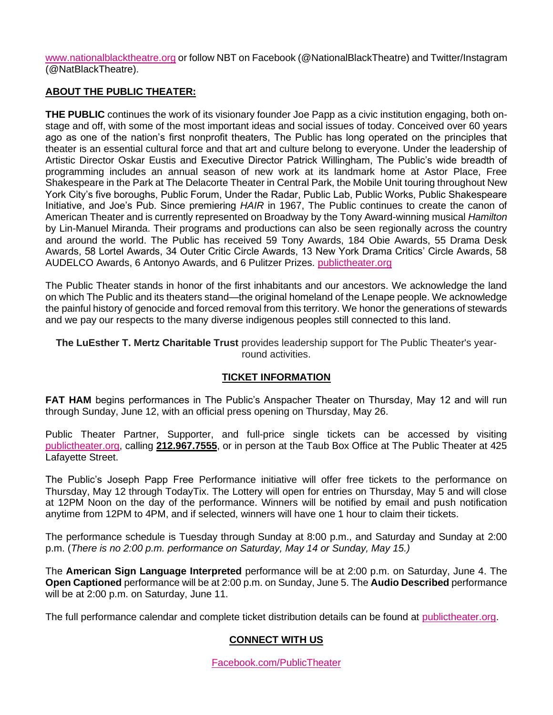[www.nationalblacktheatre.org](https://nam10.safelinks.protection.outlook.com/?url=http%3A%2F%2Fwww.nationalblacktheatre.org%2F&data=04%7C01%7C%7C424555074234483b971f08da0139bd85%7C819f3c4644b8404c8220f690820adca2%7C0%7C0%7C637823644785801865%7CUnknown%7CTWFpbGZsb3d8eyJWIjoiMC4wLjAwMDAiLCJQIjoiV2luMzIiLCJBTiI6Ik1haWwiLCJXVCI6Mn0%3D%7C3000&sdata=W0cxyR9%2Fuvmay1qeqBelkKenpQGwF8IdmfJFu9u3q2M%3D&reserved=0) or follow NBT on Facebook (@NationalBlackTheatre) and Twitter/Instagram (@NatBlackTheatre).

### **ABOUT THE PUBLIC THEATER:**

**THE PUBLIC** continues the work of its visionary founder Joe Papp as a civic institution engaging, both onstage and off, with some of the most important ideas and social issues of today. Conceived over 60 years ago as one of the nation's first nonprofit theaters, The Public has long operated on the principles that theater is an essential cultural force and that art and culture belong to everyone. Under the leadership of Artistic Director Oskar Eustis and Executive Director Patrick Willingham, The Public's wide breadth of programming includes an annual season of new work at its landmark home at Astor Place, Free Shakespeare in the Park at The Delacorte Theater in Central Park, the Mobile Unit touring throughout New York City's five boroughs, Public Forum, Under the Radar, Public Lab, Public Works, Public Shakespeare Initiative, and Joe's Pub. Since premiering *HAIR* in 1967, The Public continues to create the canon of American Theater and is currently represented on Broadway by the Tony Award-winning musical *Hamilton*  by Lin-Manuel Miranda. Their programs and productions can also be seen regionally across the country and around the world. The Public has received 59 Tony Awards, 184 Obie Awards, 55 Drama Desk Awards, 58 Lortel Awards, 34 Outer Critic Circle Awards, 13 New York Drama Critics' Circle Awards, 58 AUDELCO Awards, 6 Antonyo Awards, and 6 Pulitzer Prizes[.](http://publictheater.org/) [publictheater.org](http://publictheater.org/)

The Public Theater stands in honor of the first inhabitants and our ancestors. We acknowledge the land on which The Public and its theaters stand—the original homeland of the Lenape people. We acknowledge the painful history of genocide and forced removal from this territory. We honor the generations of stewards and we pay our respects to the many diverse indigenous peoples still connected to this land.

**The LuEsther T. Mertz Charitable Trust** provides leadership support for The Public Theater's yearround activities.

### **TICKET INFORMATION**

**FAT HAM** begins performances in The Public's Anspacher Theater on Thursday, May 12 and will run through Sunday, June 12, with an official press opening on Thursday, May 26.

Public Theater Partner, Supporter, and full-price single tickets can be accessed by visiting [publictheater.org,](http://www.publictheater.org/) calling **212.967.7555**, or in person at the Taub Box Office at The Public Theater at 425 Lafayette Street.

The Public's Joseph Papp Free Performance initiative will offer free tickets to the performance on Thursday, May 12 through TodayTix. The Lottery will open for entries on Thursday, May 5 and will close at 12PM Noon on the day of the performance. Winners will be notified by email and push notification anytime from 12PM to 4PM, and if selected, winners will have one 1 hour to claim their tickets.

The performance schedule is Tuesday through Sunday at 8:00 p.m., and Saturday and Sunday at 2:00 p.m. (*There is no 2:00 p.m. performance on Saturday, May 14 or Sunday, May 15.)*

The **American Sign Language Interpreted** performance will be at 2:00 p.m. on Saturday, June 4. The **Open Captioned** performance will be at 2:00 p.m. on Sunday, June 5. The **Audio Described** performance will be at 2:00 p.m. on Saturday, June 11.

The full performance calendar and complete ticket distribution details can be found at [publictheater.org.](http://publictheater.org/)

### **CONNECT WITH US**

[Facebook.com/PublicTheater](https://www.facebook.com/publictheater/)